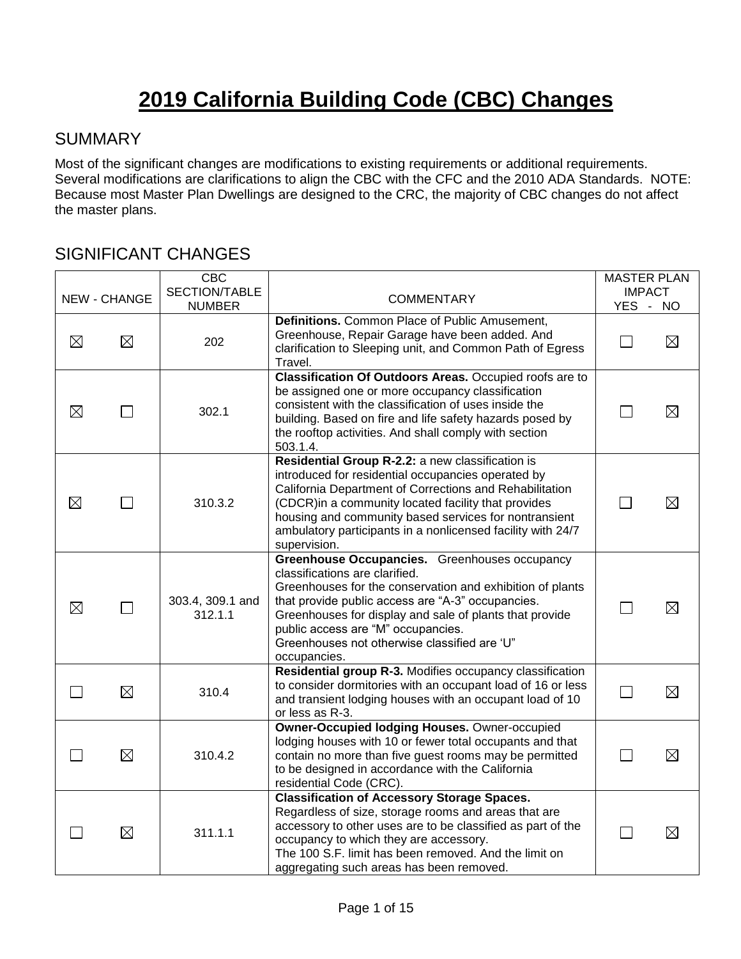# **2019 California Building Code (CBC) Changes**

#### **SUMMARY**

Most of the significant changes are modifications to existing requirements or additional requirements. Several modifications are clarifications to align the CBC with the CFC and the 2010 ADA Standards. NOTE: Because most Master Plan Dwellings are designed to the CRC, the majority of CBC changes do not affect the master plans.

#### SIGNIFICANT CHANGES

|             | <b>NEW - CHANGE</b> | <b>CBC</b><br>SECTION/TABLE | <b>COMMENTARY</b>                                                                                                                                                                                                                                                                                                                                                  | <b>MASTER PLAN</b><br><b>IMPACT</b> |             |
|-------------|---------------------|-----------------------------|--------------------------------------------------------------------------------------------------------------------------------------------------------------------------------------------------------------------------------------------------------------------------------------------------------------------------------------------------------------------|-------------------------------------|-------------|
|             |                     | <b>NUMBER</b>               |                                                                                                                                                                                                                                                                                                                                                                    | YES -                               | NO.         |
| $\boxtimes$ | $\boxtimes$         | 202                         | Definitions. Common Place of Public Amusement,<br>Greenhouse, Repair Garage have been added. And<br>clarification to Sleeping unit, and Common Path of Egress<br>Travel.                                                                                                                                                                                           | $\mathbf{L}$                        | ⊠           |
| $\boxtimes$ |                     | 302.1                       | Classification Of Outdoors Areas. Occupied roofs are to<br>be assigned one or more occupancy classification<br>consistent with the classification of uses inside the<br>building. Based on fire and life safety hazards posed by<br>the rooftop activities. And shall comply with section<br>503.1.4.                                                              |                                     | $\boxtimes$ |
| $\boxtimes$ |                     | 310.3.2                     | Residential Group R-2.2: a new classification is<br>introduced for residential occupancies operated by<br>California Department of Corrections and Rehabilitation<br>(CDCR) in a community located facility that provides<br>housing and community based services for nontransient<br>ambulatory participants in a nonlicensed facility with 24/7<br>supervision.  |                                     | $\boxtimes$ |
| ⊠           | П                   | 303.4, 309.1 and<br>312.1.1 | Greenhouse Occupancies. Greenhouses occupancy<br>classifications are clarified.<br>Greenhouses for the conservation and exhibition of plants<br>that provide public access are "A-3" occupancies.<br>Greenhouses for display and sale of plants that provide<br>public access are "M" occupancies.<br>Greenhouses not otherwise classified are 'U"<br>occupancies. | $\mathbf{L}$                        | ⊠           |
| $\sim$      | $\boxtimes$         | 310.4                       | Residential group R-3. Modifies occupancy classification<br>to consider dormitories with an occupant load of 16 or less<br>and transient lodging houses with an occupant load of 10<br>or less as R-3.                                                                                                                                                             | $\mathsf{L}$                        | $\boxtimes$ |
|             | $\boxtimes$         | 310.4.2                     | <b>Owner-Occupied lodging Houses. Owner-occupied</b><br>lodging houses with 10 or fewer total occupants and that<br>contain no more than five guest rooms may be permitted<br>to be designed in accordance with the California<br>residential Code (CRC).                                                                                                          |                                     | $\boxtimes$ |
|             | $\boxtimes$         | 311.1.1                     | <b>Classification of Accessory Storage Spaces.</b><br>Regardless of size, storage rooms and areas that are<br>accessory to other uses are to be classified as part of the<br>occupancy to which they are accessory.<br>The 100 S.F. limit has been removed. And the limit on<br>aggregating such areas has been removed.                                           | $\mathbf{L}$                        | $\boxtimes$ |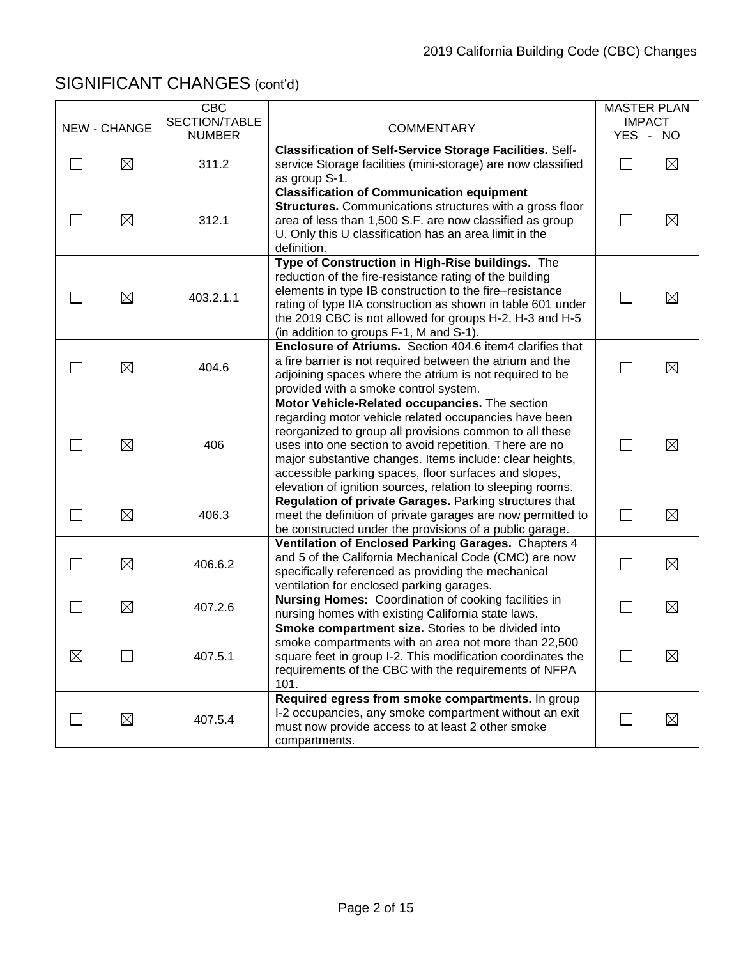|                          | <b>NEW - CHANGE</b> | <b>CBC</b><br>SECTION/TABLE | <b>COMMENTARY</b>                                                                                                                                                                                                                                                                                                                                                                                                |         | <b>MASTER PLAN</b><br><b>IMPACT</b> |
|--------------------------|---------------------|-----------------------------|------------------------------------------------------------------------------------------------------------------------------------------------------------------------------------------------------------------------------------------------------------------------------------------------------------------------------------------------------------------------------------------------------------------|---------|-------------------------------------|
|                          |                     | <b>NUMBER</b>               |                                                                                                                                                                                                                                                                                                                                                                                                                  |         | YES - NO                            |
| $\mathsf{L}$             | $\boxtimes$         | 311.2                       | <b>Classification of Self-Service Storage Facilities. Self-</b><br>service Storage facilities (mini-storage) are now classified<br>as group S-1.                                                                                                                                                                                                                                                                 | $\perp$ | $\boxtimes$                         |
|                          | $\boxtimes$         | 312.1                       | <b>Classification of Communication equipment</b><br><b>Structures.</b> Communications structures with a gross floor<br>area of less than 1,500 S.F. are now classified as group<br>U. Only this U classification has an area limit in the<br>definition.                                                                                                                                                         |         | $\boxtimes$                         |
|                          | ⊠                   | 403.2.1.1                   | Type of Construction in High-Rise buildings. The<br>reduction of the fire-resistance rating of the building<br>elements in type IB construction to the fire-resistance<br>rating of type IIA construction as shown in table 601 under<br>the 2019 CBC is not allowed for groups H-2, H-3 and H-5<br>(in addition to groups F-1, M and S-1).                                                                      |         | $\boxtimes$                         |
|                          | $\boxtimes$         | 404.6                       | Enclosure of Atriums. Section 404.6 item4 clarifies that<br>a fire barrier is not required between the atrium and the<br>adjoining spaces where the atrium is not required to be<br>provided with a smoke control system.                                                                                                                                                                                        |         | $\boxtimes$                         |
|                          | $\boxtimes$         | 406                         | Motor Vehicle-Related occupancies. The section<br>regarding motor vehicle related occupancies have been<br>reorganized to group all provisions common to all these<br>uses into one section to avoid repetition. There are no<br>major substantive changes. Items include: clear heights,<br>accessible parking spaces, floor surfaces and slopes,<br>elevation of ignition sources, relation to sleeping rooms. |         | $\boxtimes$                         |
|                          | $\boxtimes$         | 406.3                       | Regulation of private Garages. Parking structures that<br>meet the definition of private garages are now permitted to<br>be constructed under the provisions of a public garage.                                                                                                                                                                                                                                 | $\Box$  | $\boxtimes$                         |
| $\overline{\phantom{a}}$ | $\boxtimes$         | 406.6.2                     | Ventilation of Enclosed Parking Garages. Chapters 4<br>and 5 of the California Mechanical Code (CMC) are now<br>specifically referenced as providing the mechanical<br>ventilation for enclosed parking garages.                                                                                                                                                                                                 | l I     | $\boxtimes$                         |
| $\Box$                   | $\boxtimes$         | 407.2.6                     | Nursing Homes: Coordination of cooking facilities in<br>nursing homes with existing California state laws.                                                                                                                                                                                                                                                                                                       | $\Box$  | $\boxtimes$                         |
| $\boxtimes$              |                     | 407.5.1                     | Smoke compartment size. Stories to be divided into<br>smoke compartments with an area not more than 22,500<br>square feet in group I-2. This modification coordinates the<br>requirements of the CBC with the requirements of NFPA<br>101.                                                                                                                                                                       |         | ⊠                                   |
|                          | $\boxtimes$         | 407.5.4                     | Required egress from smoke compartments. In group<br>I-2 occupancies, any smoke compartment without an exit<br>must now provide access to at least 2 other smoke<br>compartments.                                                                                                                                                                                                                                |         | $\boxtimes$                         |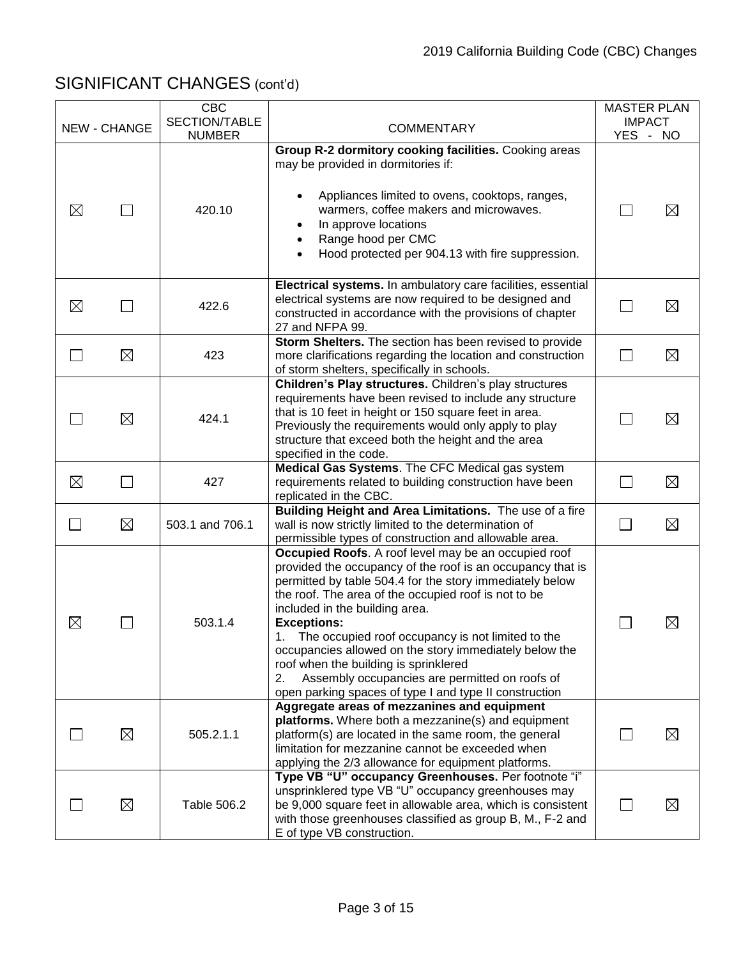|             |                     | <b>CBC</b><br>SECTION/TABLE |                                                                                                                                                                                                                                                                                                                                                                                                                                                                                                                                                                             | <b>MASTER PLAN</b><br><b>IMPACT</b> |             |
|-------------|---------------------|-----------------------------|-----------------------------------------------------------------------------------------------------------------------------------------------------------------------------------------------------------------------------------------------------------------------------------------------------------------------------------------------------------------------------------------------------------------------------------------------------------------------------------------------------------------------------------------------------------------------------|-------------------------------------|-------------|
|             | <b>NEW - CHANGE</b> | <b>NUMBER</b>               | <b>COMMENTARY</b>                                                                                                                                                                                                                                                                                                                                                                                                                                                                                                                                                           | YES - NO                            |             |
| $\boxtimes$ |                     | 420.10                      | Group R-2 dormitory cooking facilities. Cooking areas<br>may be provided in dormitories if:<br>Appliances limited to ovens, cooktops, ranges,<br>$\bullet$<br>warmers, coffee makers and microwaves.<br>In approve locations<br>Range hood per CMC<br>Hood protected per 904.13 with fire suppression.                                                                                                                                                                                                                                                                      |                                     | $\boxtimes$ |
| $\boxtimes$ |                     | 422.6                       | Electrical systems. In ambulatory care facilities, essential<br>electrical systems are now required to be designed and<br>constructed in accordance with the provisions of chapter<br>27 and NFPA 99.                                                                                                                                                                                                                                                                                                                                                                       |                                     | $\boxtimes$ |
| $\Box$      | $\boxtimes$         | 423                         | Storm Shelters. The section has been revised to provide<br>more clarifications regarding the location and construction<br>of storm shelters, specifically in schools.                                                                                                                                                                                                                                                                                                                                                                                                       | $\Box$                              | $\boxtimes$ |
|             | $\boxtimes$         | 424.1                       | Children's Play structures. Children's play structures<br>requirements have been revised to include any structure<br>that is 10 feet in height or 150 square feet in area.<br>Previously the requirements would only apply to play<br>structure that exceed both the height and the area<br>specified in the code.                                                                                                                                                                                                                                                          |                                     | ⊠           |
| $\boxtimes$ |                     | 427                         | Medical Gas Systems. The CFC Medical gas system<br>requirements related to building construction have been<br>replicated in the CBC.                                                                                                                                                                                                                                                                                                                                                                                                                                        | $\Box$                              | $\boxtimes$ |
| $\Box$      | $\boxtimes$         | 503.1 and 706.1             | Building Height and Area Limitations. The use of a fire<br>wall is now strictly limited to the determination of<br>permissible types of construction and allowable area.                                                                                                                                                                                                                                                                                                                                                                                                    | $\sim$                              | $\boxtimes$ |
| $\boxtimes$ |                     | 503.1.4                     | Occupied Roofs. A roof level may be an occupied roof<br>provided the occupancy of the roof is an occupancy that is<br>permitted by table 504.4 for the story immediately below<br>the roof. The area of the occupied roof is not to be<br>included in the building area.<br><b>Exceptions:</b><br>1. The occupied roof occupancy is not limited to the<br>occupancies allowed on the story immediately below the<br>roof when the building is sprinklered<br>Assembly occupancies are permitted on roofs of<br>2.<br>open parking spaces of type I and type II construction |                                     | $\boxtimes$ |
|             | ⊠                   | 505.2.1.1                   | Aggregate areas of mezzanines and equipment<br>platforms. Where both a mezzanine(s) and equipment<br>platform(s) are located in the same room, the general<br>limitation for mezzanine cannot be exceeded when<br>applying the 2/3 allowance for equipment platforms.                                                                                                                                                                                                                                                                                                       |                                     | $\boxtimes$ |
|             | $\boxtimes$         | Table 506.2                 | Type VB "U" occupancy Greenhouses. Per footnote "i"<br>unsprinklered type VB "U" occupancy greenhouses may<br>be 9,000 square feet in allowable area, which is consistent<br>with those greenhouses classified as group B, M., F-2 and<br>E of type VB construction.                                                                                                                                                                                                                                                                                                        |                                     | ⊠           |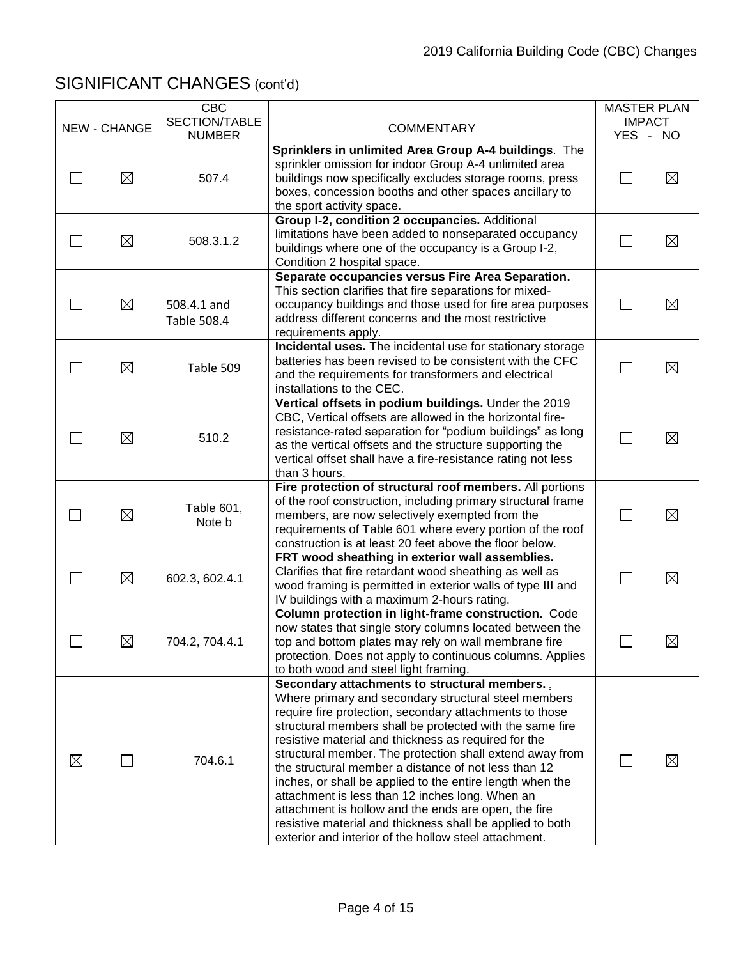|             | <b>NEW - CHANGE</b> | <b>CBC</b><br>SECTION/TABLE | <b>COMMENTARY</b>                                                                                                                                                                                                                                                                                                                                                                                                                                                                                                                                                                                                                                                                                     | <b>MASTER PLAN</b><br><b>IMPACT</b> |             |
|-------------|---------------------|-----------------------------|-------------------------------------------------------------------------------------------------------------------------------------------------------------------------------------------------------------------------------------------------------------------------------------------------------------------------------------------------------------------------------------------------------------------------------------------------------------------------------------------------------------------------------------------------------------------------------------------------------------------------------------------------------------------------------------------------------|-------------------------------------|-------------|
|             |                     | <b>NUMBER</b>               |                                                                                                                                                                                                                                                                                                                                                                                                                                                                                                                                                                                                                                                                                                       | YES - NO                            |             |
|             | $\boxtimes$         | 507.4                       | Sprinklers in unlimited Area Group A-4 buildings. The<br>sprinkler omission for indoor Group A-4 unlimited area<br>buildings now specifically excludes storage rooms, press<br>boxes, concession booths and other spaces ancillary to<br>the sport activity space.                                                                                                                                                                                                                                                                                                                                                                                                                                    |                                     | $\boxtimes$ |
|             | $\boxtimes$         | 508.3.1.2                   | Group I-2, condition 2 occupancies. Additional<br>limitations have been added to nonseparated occupancy<br>buildings where one of the occupancy is a Group I-2,<br>Condition 2 hospital space.                                                                                                                                                                                                                                                                                                                                                                                                                                                                                                        |                                     | $\boxtimes$ |
|             | $\boxtimes$         | 508.4.1 and<br>Table 508.4  | Separate occupancies versus Fire Area Separation.<br>This section clarifies that fire separations for mixed-<br>occupancy buildings and those used for fire area purposes<br>address different concerns and the most restrictive<br>requirements apply.                                                                                                                                                                                                                                                                                                                                                                                                                                               |                                     | $\boxtimes$ |
|             | $\boxtimes$         | Table 509                   | Incidental uses. The incidental use for stationary storage<br>batteries has been revised to be consistent with the CFC<br>and the requirements for transformers and electrical<br>installations to the CEC.                                                                                                                                                                                                                                                                                                                                                                                                                                                                                           |                                     | $\boxtimes$ |
|             | $\boxtimes$         | 510.2                       | Vertical offsets in podium buildings. Under the 2019<br>CBC, Vertical offsets are allowed in the horizontal fire-<br>resistance-rated separation for "podium buildings" as long<br>as the vertical offsets and the structure supporting the<br>vertical offset shall have a fire-resistance rating not less<br>than 3 hours.                                                                                                                                                                                                                                                                                                                                                                          | L.                                  | $\boxtimes$ |
|             | $\boxtimes$         | Table 601,<br>Note b        | Fire protection of structural roof members. All portions<br>of the roof construction, including primary structural frame<br>members, are now selectively exempted from the<br>requirements of Table 601 where every portion of the roof<br>construction is at least 20 feet above the floor below.                                                                                                                                                                                                                                                                                                                                                                                                    |                                     | $\boxtimes$ |
|             | $\boxtimes$         | 602.3, 602.4.1              | FRT wood sheathing in exterior wall assemblies.<br>Clarifies that fire retardant wood sheathing as well as<br>wood framing is permitted in exterior walls of type III and<br>IV buildings with a maximum 2-hours rating.                                                                                                                                                                                                                                                                                                                                                                                                                                                                              |                                     | $\boxtimes$ |
|             | $\boxtimes$         | 704.2, 704.4.1              | Column protection in light-frame construction. Code<br>now states that single story columns located between the<br>top and bottom plates may rely on wall membrane fire<br>protection. Does not apply to continuous columns. Applies<br>to both wood and steel light framing.                                                                                                                                                                                                                                                                                                                                                                                                                         |                                     | ⊠           |
| $\boxtimes$ |                     | 704.6.1                     | Secondary attachments to structural members.<br>Where primary and secondary structural steel members<br>require fire protection, secondary attachments to those<br>structural members shall be protected with the same fire<br>resistive material and thickness as required for the<br>structural member. The protection shall extend away from<br>the structural member a distance of not less than 12<br>inches, or shall be applied to the entire length when the<br>attachment is less than 12 inches long. When an<br>attachment is hollow and the ends are open, the fire<br>resistive material and thickness shall be applied to both<br>exterior and interior of the hollow steel attachment. |                                     | ⊠           |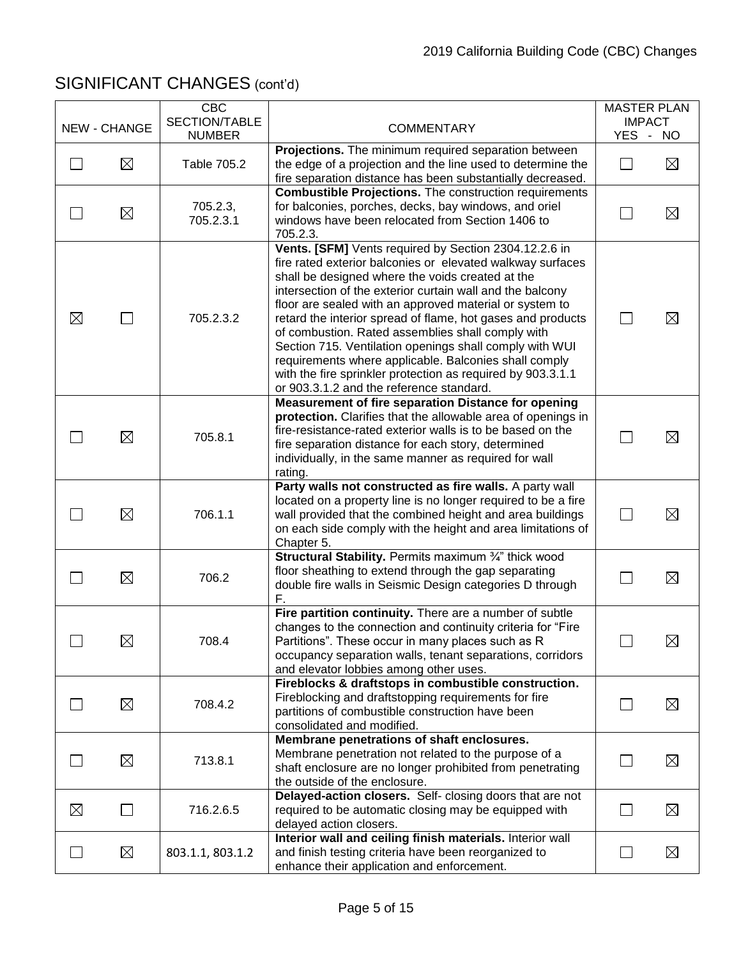|                          | <b>NEW - CHANGE</b> | <b>CBC</b><br>SECTION/TABLE<br><b>NUMBER</b> | <b>COMMENTARY</b>                                                                                                                                                                                                                                                                                                                                                                                                                                                                                                                                                                                                                                  | <b>MASTER PLAN</b><br><b>IMPACT</b><br>YES - NO |             |
|--------------------------|---------------------|----------------------------------------------|----------------------------------------------------------------------------------------------------------------------------------------------------------------------------------------------------------------------------------------------------------------------------------------------------------------------------------------------------------------------------------------------------------------------------------------------------------------------------------------------------------------------------------------------------------------------------------------------------------------------------------------------------|-------------------------------------------------|-------------|
| $\sim$                   | $\boxtimes$         | Table 705.2                                  | Projections. The minimum required separation between<br>the edge of a projection and the line used to determine the<br>fire separation distance has been substantially decreased.                                                                                                                                                                                                                                                                                                                                                                                                                                                                  | $\mathbf{L}$                                    | $\boxtimes$ |
|                          | ⊠                   | 705.2.3,<br>705.2.3.1                        | <b>Combustible Projections.</b> The construction requirements<br>for balconies, porches, decks, bay windows, and oriel<br>windows have been relocated from Section 1406 to<br>705.2.3.                                                                                                                                                                                                                                                                                                                                                                                                                                                             |                                                 | $\boxtimes$ |
| $\boxtimes$              | $\Box$              | 705.2.3.2                                    | Vents. [SFM] Vents required by Section 2304.12.2.6 in<br>fire rated exterior balconies or elevated walkway surfaces<br>shall be designed where the voids created at the<br>intersection of the exterior curtain wall and the balcony<br>floor are sealed with an approved material or system to<br>retard the interior spread of flame, hot gases and products<br>of combustion. Rated assemblies shall comply with<br>Section 715. Ventilation openings shall comply with WUI<br>requirements where applicable. Balconies shall comply<br>with the fire sprinkler protection as required by 903.3.1.1<br>or 903.3.1.2 and the reference standard. |                                                 | $\boxtimes$ |
|                          | ⊠                   | 705.8.1                                      | Measurement of fire separation Distance for opening<br>protection. Clarifies that the allowable area of openings in<br>fire-resistance-rated exterior walls is to be based on the<br>fire separation distance for each story, determined<br>individually, in the same manner as required for wall<br>rating.                                                                                                                                                                                                                                                                                                                                       |                                                 | $\boxtimes$ |
|                          | ⊠                   | 706.1.1                                      | Party walls not constructed as fire walls. A party wall<br>located on a property line is no longer required to be a fire<br>wall provided that the combined height and area buildings<br>on each side comply with the height and area limitations of<br>Chapter 5.                                                                                                                                                                                                                                                                                                                                                                                 | $\mathbf{L}$                                    | $\boxtimes$ |
|                          | $\boxtimes$         | 706.2                                        | Structural Stability. Permits maximum 3/4" thick wood<br>floor sheathing to extend through the gap separating<br>double fire walls in Seismic Design categories D through<br>F.                                                                                                                                                                                                                                                                                                                                                                                                                                                                    | <b>College</b>                                  | $\boxtimes$ |
|                          | $\boxtimes$         | 708.4                                        | Fire partition continuity. There are a number of subtle<br>changes to the connection and continuity criteria for "Fire<br>Partitions". These occur in many places such as R<br>occupancy separation walls, tenant separations, corridors<br>and elevator lobbies among other uses.                                                                                                                                                                                                                                                                                                                                                                 |                                                 | $\boxtimes$ |
|                          | $\boxtimes$         | 708.4.2                                      | Fireblocks & draftstops in combustible construction.<br>Fireblocking and draftstopping requirements for fire<br>partitions of combustible construction have been<br>consolidated and modified.                                                                                                                                                                                                                                                                                                                                                                                                                                                     |                                                 | $\boxtimes$ |
|                          | $\boxtimes$         | 713.8.1                                      | Membrane penetrations of shaft enclosures.<br>Membrane penetration not related to the purpose of a<br>shaft enclosure are no longer prohibited from penetrating<br>the outside of the enclosure.                                                                                                                                                                                                                                                                                                                                                                                                                                                   |                                                 | $\boxtimes$ |
| ⊠                        | $\blacksquare$      | 716.2.6.5                                    | Delayed-action closers. Self- closing doors that are not<br>required to be automatic closing may be equipped with<br>delayed action closers.                                                                                                                                                                                                                                                                                                                                                                                                                                                                                                       |                                                 | $\boxtimes$ |
| $\overline{\phantom{0}}$ | $\boxtimes$         | 803.1.1, 803.1.2                             | Interior wall and ceiling finish materials. Interior wall<br>and finish testing criteria have been reorganized to<br>enhance their application and enforcement.                                                                                                                                                                                                                                                                                                                                                                                                                                                                                    | $\Box$                                          | $\boxtimes$ |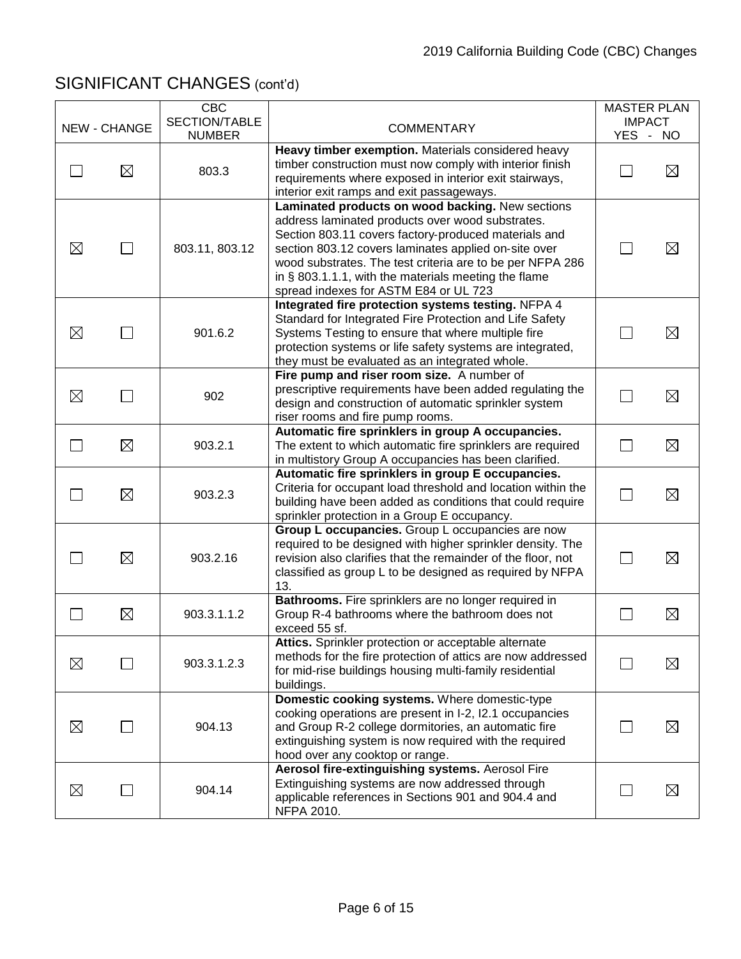|             | NEW - CHANGE | <b>CBC</b><br>SECTION/TABLE | <b>COMMENTARY</b>                                                                                                                                                                                                                                                                                                                                                                  | <b>MASTER PLAN</b><br><b>IMPACT</b> |             |
|-------------|--------------|-----------------------------|------------------------------------------------------------------------------------------------------------------------------------------------------------------------------------------------------------------------------------------------------------------------------------------------------------------------------------------------------------------------------------|-------------------------------------|-------------|
|             |              | <b>NUMBER</b>               |                                                                                                                                                                                                                                                                                                                                                                                    | YES - NO                            |             |
|             | $\boxtimes$  | 803.3                       | Heavy timber exemption. Materials considered heavy<br>timber construction must now comply with interior finish<br>requirements where exposed in interior exit stairways,<br>interior exit ramps and exit passageways.                                                                                                                                                              |                                     | $\boxtimes$ |
| $\boxtimes$ | $\Box$       | 803.11, 803.12              | Laminated products on wood backing. New sections<br>address laminated products over wood substrates.<br>Section 803.11 covers factory-produced materials and<br>section 803.12 covers laminates applied on-site over<br>wood substrates. The test criteria are to be per NFPA 286<br>in § 803.1.1.1, with the materials meeting the flame<br>spread indexes for ASTM E84 or UL 723 | $\mathbf{L}$                        | $\boxtimes$ |
| ⊠           |              | 901.6.2                     | Integrated fire protection systems testing. NFPA 4<br>Standard for Integrated Fire Protection and Life Safety<br>Systems Testing to ensure that where multiple fire<br>protection systems or life safety systems are integrated,<br>they must be evaluated as an integrated whole.                                                                                                 |                                     | $\boxtimes$ |
| $\boxtimes$ |              | 902                         | Fire pump and riser room size. A number of<br>prescriptive requirements have been added regulating the<br>design and construction of automatic sprinkler system<br>riser rooms and fire pump rooms.                                                                                                                                                                                | $\mathsf{L}$                        | $\boxtimes$ |
|             | $\boxtimes$  | 903.2.1                     | Automatic fire sprinklers in group A occupancies.<br>The extent to which automatic fire sprinklers are required<br>in multistory Group A occupancies has been clarified.                                                                                                                                                                                                           | $\Box$                              | $\boxtimes$ |
|             | $\boxtimes$  | 903.2.3                     | Automatic fire sprinklers in group E occupancies.<br>Criteria for occupant load threshold and location within the<br>building have been added as conditions that could require<br>sprinkler protection in a Group E occupancy.                                                                                                                                                     | $\mathbf{L}$                        | $\boxtimes$ |
|             | $\boxtimes$  | 903.2.16                    | Group L occupancies. Group L occupancies are now<br>required to be designed with higher sprinkler density. The<br>revision also clarifies that the remainder of the floor, not<br>classified as group L to be designed as required by NFPA<br>13.                                                                                                                                  |                                     | $\boxtimes$ |
|             | $\boxtimes$  | 903.3.1.1.2                 | Bathrooms. Fire sprinklers are no longer required in<br>Group R-4 bathrooms where the bathroom does not<br>exceed 55 sf.                                                                                                                                                                                                                                                           | $\mathbf{L}$                        | $\boxtimes$ |
| $\boxtimes$ |              | 903.3.1.2.3                 | Attics. Sprinkler protection or acceptable alternate<br>methods for the fire protection of attics are now addressed<br>for mid-rise buildings housing multi-family residential<br>buildings.                                                                                                                                                                                       |                                     | $\boxtimes$ |
| $\boxtimes$ |              | 904.13                      | Domestic cooking systems. Where domestic-type<br>cooking operations are present in I-2, I2.1 occupancies<br>and Group R-2 college dormitories, an automatic fire<br>extinguishing system is now required with the required<br>hood over any cooktop or range.                                                                                                                      |                                     | $\boxtimes$ |
| $\boxtimes$ |              | 904.14                      | Aerosol fire-extinguishing systems. Aerosol Fire<br>Extinguishing systems are now addressed through<br>applicable references in Sections 901 and 904.4 and<br>NFPA 2010.                                                                                                                                                                                                           |                                     | $\boxtimes$ |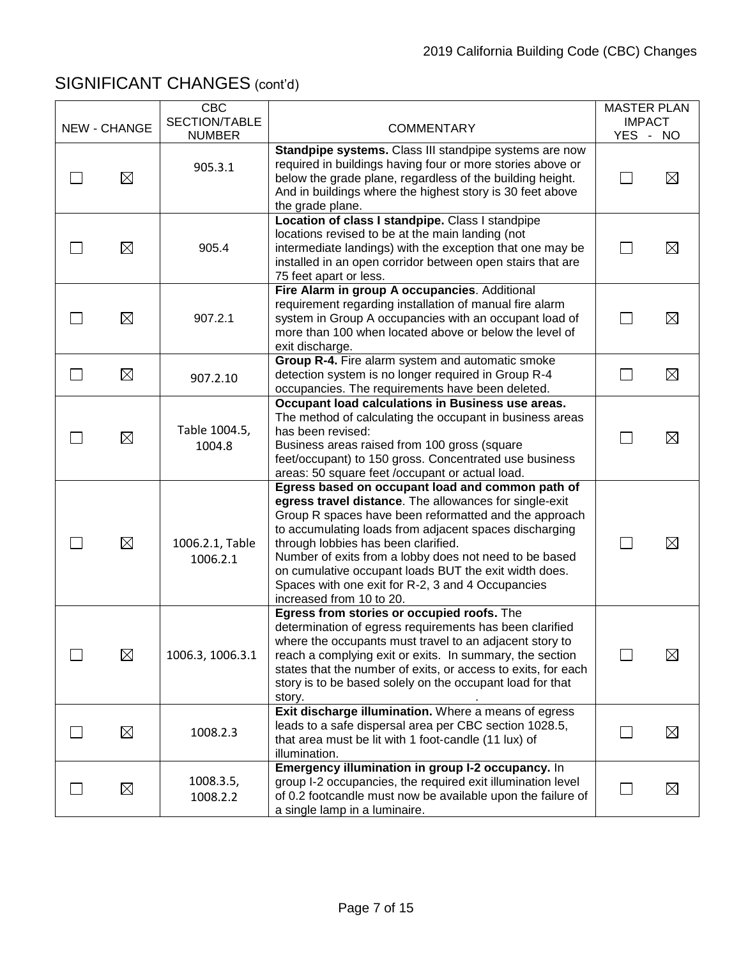|              | <b>CBC</b><br>SECTION/TABLE |                                                                                                                                                                                                                                                                                                                                                                                                                                                                          | <b>MASTER PLAN</b><br><b>IMPACT</b> |             |
|--------------|-----------------------------|--------------------------------------------------------------------------------------------------------------------------------------------------------------------------------------------------------------------------------------------------------------------------------------------------------------------------------------------------------------------------------------------------------------------------------------------------------------------------|-------------------------------------|-------------|
| NEW - CHANGE | <b>NUMBER</b>               | <b>COMMENTARY</b>                                                                                                                                                                                                                                                                                                                                                                                                                                                        | YES - NO                            |             |
| ⊠            | 905.3.1                     | Standpipe systems. Class III standpipe systems are now<br>required in buildings having four or more stories above or<br>below the grade plane, regardless of the building height.<br>And in buildings where the highest story is 30 feet above<br>the grade plane.                                                                                                                                                                                                       |                                     | $\boxtimes$ |
| $\boxtimes$  | 905.4                       | Location of class I standpipe. Class I standpipe<br>locations revised to be at the main landing (not<br>intermediate landings) with the exception that one may be<br>installed in an open corridor between open stairs that are<br>75 feet apart or less.                                                                                                                                                                                                                |                                     | $\boxtimes$ |
| $\boxtimes$  | 907.2.1                     | Fire Alarm in group A occupancies. Additional<br>requirement regarding installation of manual fire alarm<br>system in Group A occupancies with an occupant load of<br>more than 100 when located above or below the level of<br>exit discharge.                                                                                                                                                                                                                          |                                     | $\boxtimes$ |
| $\boxtimes$  | 907.2.10                    | Group R-4. Fire alarm system and automatic smoke<br>detection system is no longer required in Group R-4<br>occupancies. The requirements have been deleted.                                                                                                                                                                                                                                                                                                              |                                     | $\boxtimes$ |
| $\boxtimes$  | Table 1004.5,<br>1004.8     | Occupant load calculations in Business use areas.<br>The method of calculating the occupant in business areas<br>has been revised:<br>Business areas raised from 100 gross (square<br>feet/occupant) to 150 gross. Concentrated use business<br>areas: 50 square feet /occupant or actual load.                                                                                                                                                                          |                                     | $\boxtimes$ |
| $\boxtimes$  | 1006.2.1, Table<br>1006.2.1 | Egress based on occupant load and common path of<br>egress travel distance. The allowances for single-exit<br>Group R spaces have been reformatted and the approach<br>to accumulating loads from adjacent spaces discharging<br>through lobbies has been clarified.<br>Number of exits from a lobby does not need to be based<br>on cumulative occupant loads BUT the exit width does.<br>Spaces with one exit for R-2, 3 and 4 Occupancies<br>increased from 10 to 20. |                                     | $\boxtimes$ |
| $\boxtimes$  | 1006.3, 1006.3.1            | Egress from stories or occupied roofs. The<br>determination of egress requirements has been clarified<br>where the occupants must travel to an adjacent story to<br>reach a complying exit or exits. In summary, the section<br>states that the number of exits, or access to exits, for each<br>story is to be based solely on the occupant load for that<br>story.                                                                                                     |                                     | $\boxtimes$ |
| $\boxtimes$  | 1008.2.3                    | Exit discharge illumination. Where a means of egress<br>leads to a safe dispersal area per CBC section 1028.5,<br>that area must be lit with 1 foot-candle (11 lux) of<br>illumination.                                                                                                                                                                                                                                                                                  |                                     | $\boxtimes$ |
| $\boxtimes$  | 1008.3.5,<br>1008.2.2       | Emergency illumination in group I-2 occupancy. In<br>group I-2 occupancies, the required exit illumination level<br>of 0.2 footcandle must now be available upon the failure of<br>a single lamp in a luminaire.                                                                                                                                                                                                                                                         |                                     | $\boxtimes$ |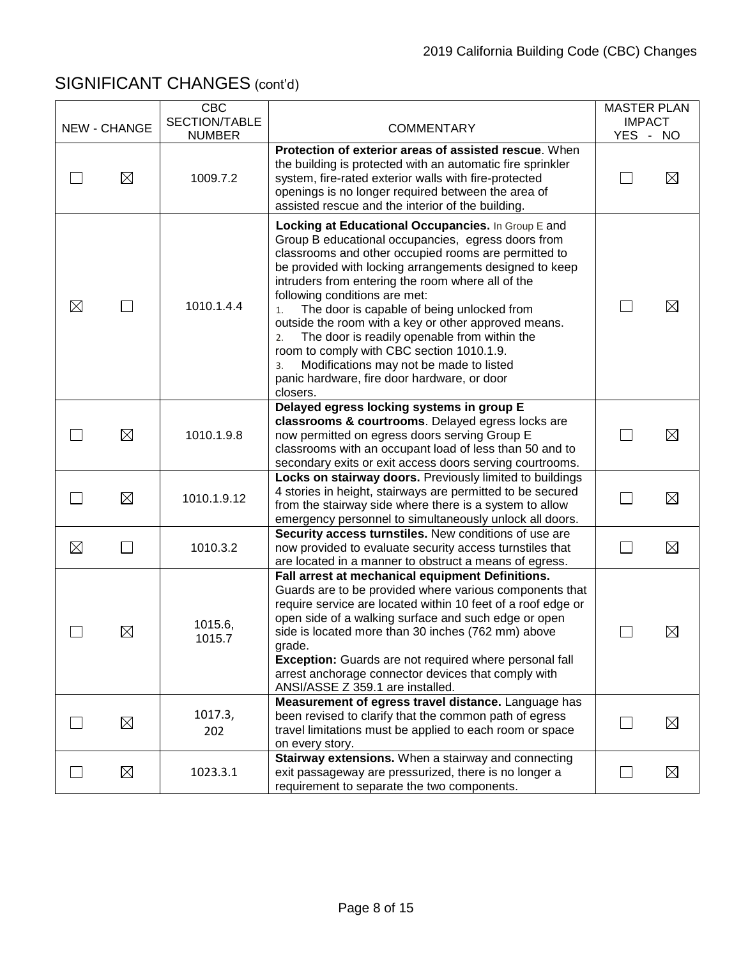|             | <b>NEW - CHANGE</b> | <b>CBC</b><br>SECTION/TABLE<br><b>NUMBER</b> | <b>COMMENTARY</b>                                                                                                                                                                                                                                                                                                                                                                                                                                                                                                                                                                                                                           | <b>MASTER PLAN</b><br>YES - NO | <b>IMPACT</b> |
|-------------|---------------------|----------------------------------------------|---------------------------------------------------------------------------------------------------------------------------------------------------------------------------------------------------------------------------------------------------------------------------------------------------------------------------------------------------------------------------------------------------------------------------------------------------------------------------------------------------------------------------------------------------------------------------------------------------------------------------------------------|--------------------------------|---------------|
|             | $\boxtimes$         | 1009.7.2                                     | Protection of exterior areas of assisted rescue. When<br>the building is protected with an automatic fire sprinkler<br>system, fire-rated exterior walls with fire-protected<br>openings is no longer required between the area of<br>assisted rescue and the interior of the building.                                                                                                                                                                                                                                                                                                                                                     |                                | $\boxtimes$   |
| $\boxtimes$ | $\blacksquare$      | 1010.1.4.4                                   | Locking at Educational Occupancies. In Group E and<br>Group B educational occupancies, egress doors from<br>classrooms and other occupied rooms are permitted to<br>be provided with locking arrangements designed to keep<br>intruders from entering the room where all of the<br>following conditions are met:<br>The door is capable of being unlocked from<br>1.<br>outside the room with a key or other approved means.<br>The door is readily openable from within the<br>2.<br>room to comply with CBC section 1010.1.9.<br>Modifications may not be made to listed<br>3.<br>panic hardware, fire door hardware, or door<br>closers. |                                | $\boxtimes$   |
|             | $\boxtimes$         | 1010.1.9.8                                   | Delayed egress locking systems in group E<br>classrooms & courtrooms. Delayed egress locks are<br>now permitted on egress doors serving Group E<br>classrooms with an occupant load of less than 50 and to<br>secondary exits or exit access doors serving courtrooms.                                                                                                                                                                                                                                                                                                                                                                      |                                | $\boxtimes$   |
|             | $\boxtimes$         | 1010.1.9.12                                  | Locks on stairway doors. Previously limited to buildings<br>4 stories in height, stairways are permitted to be secured<br>from the stairway side where there is a system to allow<br>emergency personnel to simultaneously unlock all doors.                                                                                                                                                                                                                                                                                                                                                                                                |                                | $\boxtimes$   |
| ⊠           | $\Box$              | 1010.3.2                                     | Security access turnstiles. New conditions of use are<br>now provided to evaluate security access turnstiles that<br>are located in a manner to obstruct a means of egress.                                                                                                                                                                                                                                                                                                                                                                                                                                                                 | $\Box$                         | $\boxtimes$   |
|             | $\boxtimes$         | 1015.6,<br>1015.7                            | Fall arrest at mechanical equipment Definitions.<br>Guards are to be provided where various components that<br>require service are located within 10 feet of a roof edge or<br>open side of a walking surface and such edge or open<br>side is located more than 30 inches (762 mm) above<br>grade.<br><b>Exception:</b> Guards are not required where personal fall<br>arrest anchorage connector devices that comply with<br>ANSI/ASSE Z 359.1 are installed.                                                                                                                                                                             |                                | $\boxtimes$   |
|             | $\boxtimes$         | 1017.3,<br>202                               | Measurement of egress travel distance. Language has<br>been revised to clarify that the common path of egress<br>travel limitations must be applied to each room or space<br>on every story.                                                                                                                                                                                                                                                                                                                                                                                                                                                |                                | $\boxtimes$   |
| L.          | $\boxtimes$         | 1023.3.1                                     | Stairway extensions. When a stairway and connecting<br>exit passageway are pressurized, there is no longer a<br>requirement to separate the two components.                                                                                                                                                                                                                                                                                                                                                                                                                                                                                 |                                | $\boxtimes$   |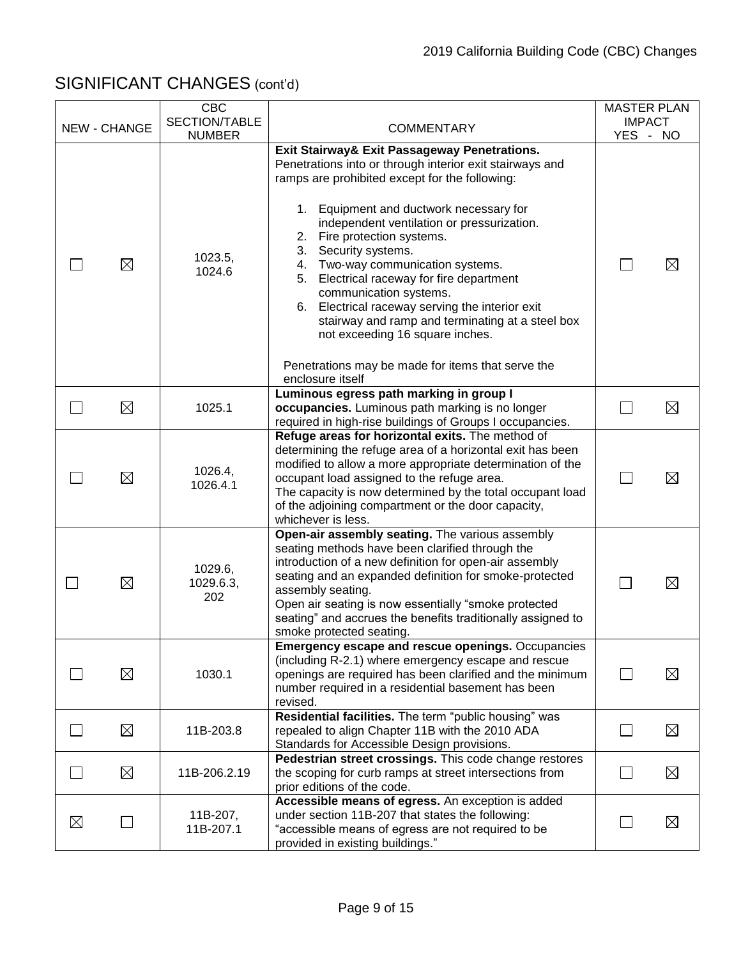|   |                     | <b>CBC</b><br>SECTION/TABLE |                                                                                                                                                                                                                                                                                                                                                                                                                                                                                                                                                                                                                                   | <b>MASTER PLAN</b><br><b>IMPACT</b> |             |
|---|---------------------|-----------------------------|-----------------------------------------------------------------------------------------------------------------------------------------------------------------------------------------------------------------------------------------------------------------------------------------------------------------------------------------------------------------------------------------------------------------------------------------------------------------------------------------------------------------------------------------------------------------------------------------------------------------------------------|-------------------------------------|-------------|
|   | <b>NEW - CHANGE</b> | <b>NUMBER</b>               | <b>COMMENTARY</b>                                                                                                                                                                                                                                                                                                                                                                                                                                                                                                                                                                                                                 | YES - NO                            |             |
|   | ⊠                   | 1023.5,<br>1024.6           | Exit Stairway& Exit Passageway Penetrations.<br>Penetrations into or through interior exit stairways and<br>ramps are prohibited except for the following:<br>Equipment and ductwork necessary for<br>1.<br>independent ventilation or pressurization.<br>Fire protection systems.<br>2.<br>Security systems.<br>3.<br>4. Two-way communication systems.<br>Electrical raceway for fire department<br>5.<br>communication systems.<br>6. Electrical raceway serving the interior exit<br>stairway and ramp and terminating at a steel box<br>not exceeding 16 square inches.<br>Penetrations may be made for items that serve the |                                     | $\boxtimes$ |
|   | $\boxtimes$         | 1025.1                      | enclosure itself<br>Luminous egress path marking in group I<br>occupancies. Luminous path marking is no longer                                                                                                                                                                                                                                                                                                                                                                                                                                                                                                                    |                                     | $\boxtimes$ |
|   |                     |                             | required in high-rise buildings of Groups I occupancies.                                                                                                                                                                                                                                                                                                                                                                                                                                                                                                                                                                          |                                     |             |
|   | $\boxtimes$         | 1026.4,<br>1026.4.1         | Refuge areas for horizontal exits. The method of<br>determining the refuge area of a horizontal exit has been<br>modified to allow a more appropriate determination of the<br>occupant load assigned to the refuge area.<br>The capacity is now determined by the total occupant load<br>of the adjoining compartment or the door capacity,<br>whichever is less.                                                                                                                                                                                                                                                                 |                                     | $\boxtimes$ |
|   | $\boxtimes$         | 1029.6,<br>1029.6.3,<br>202 | Open-air assembly seating. The various assembly<br>seating methods have been clarified through the<br>introduction of a new definition for open-air assembly<br>seating and an expanded definition for smoke-protected<br>assembly seating.<br>Open air seating is now essentially "smoke protected<br>seating" and accrues the benefits traditionally assigned to<br>smoke protected seating.                                                                                                                                                                                                                                    |                                     | $\boxtimes$ |
|   | $\boxtimes$         | 1030.1                      | <b>Emergency escape and rescue openings. Occupancies</b><br>(including R-2.1) where emergency escape and rescue<br>openings are required has been clarified and the minimum<br>number required in a residential basement has been<br>revised.                                                                                                                                                                                                                                                                                                                                                                                     |                                     | $\boxtimes$ |
|   | $\boxtimes$         | 11B-203.8                   | Residential facilities. The term "public housing" was<br>repealed to align Chapter 11B with the 2010 ADA<br>Standards for Accessible Design provisions.                                                                                                                                                                                                                                                                                                                                                                                                                                                                           | $\mathsf{L}$                        | $\boxtimes$ |
|   | $\boxtimes$         | 11B-206.2.19                | Pedestrian street crossings. This code change restores<br>the scoping for curb ramps at street intersections from<br>prior editions of the code.                                                                                                                                                                                                                                                                                                                                                                                                                                                                                  | $\Box$                              | $\boxtimes$ |
| ⊠ |                     | 11B-207,<br>11B-207.1       | Accessible means of egress. An exception is added<br>under section 11B-207 that states the following:<br>"accessible means of egress are not required to be<br>provided in existing buildings."                                                                                                                                                                                                                                                                                                                                                                                                                                   |                                     | $\boxtimes$ |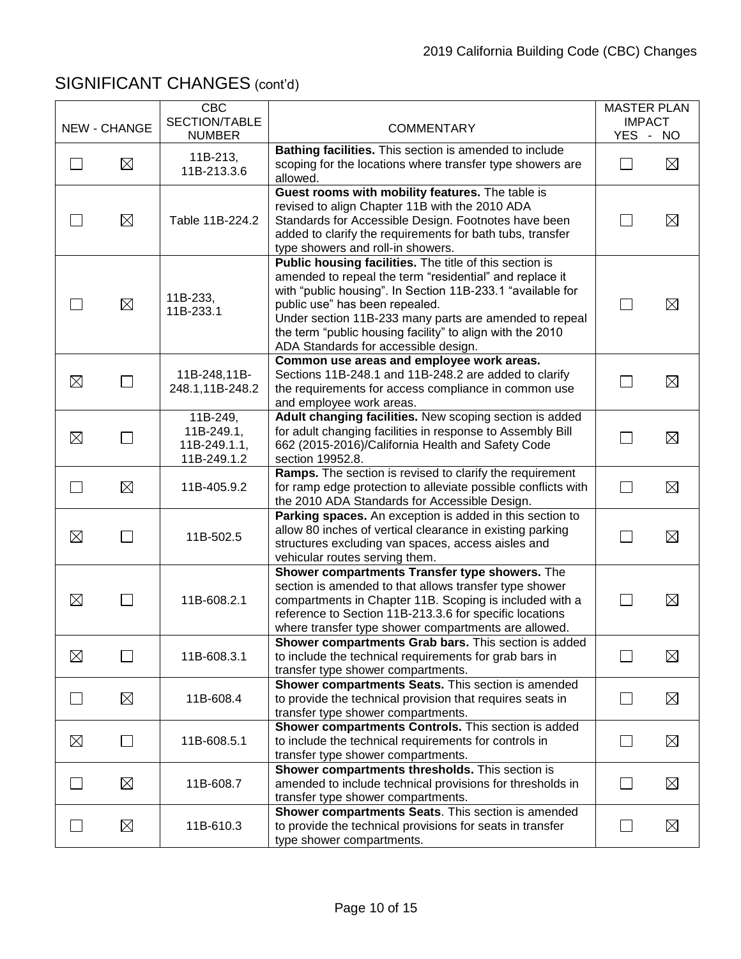|             |                     | <b>CBC</b><br>SECTION/TABLE                           |                                                                                                                                                                                                                                                                                                                                                                                   | <b>MASTER PLAN</b><br><b>IMPACT</b> |             |
|-------------|---------------------|-------------------------------------------------------|-----------------------------------------------------------------------------------------------------------------------------------------------------------------------------------------------------------------------------------------------------------------------------------------------------------------------------------------------------------------------------------|-------------------------------------|-------------|
|             | <b>NEW - CHANGE</b> | <b>NUMBER</b>                                         | <b>COMMENTARY</b>                                                                                                                                                                                                                                                                                                                                                                 | YES - NO                            |             |
|             | $\boxtimes$         | 11B-213,<br>11B-213.3.6                               | Bathing facilities. This section is amended to include<br>scoping for the locations where transfer type showers are<br>allowed.                                                                                                                                                                                                                                                   | $\mathbf{L}$                        | $\boxtimes$ |
|             | $\boxtimes$         | Table 11B-224.2                                       | Guest rooms with mobility features. The table is<br>revised to align Chapter 11B with the 2010 ADA<br>Standards for Accessible Design. Footnotes have been<br>added to clarify the requirements for bath tubs, transfer<br>type showers and roll-in showers.                                                                                                                      | M.                                  | $\boxtimes$ |
|             | $\boxtimes$         | 11B-233,<br>11B-233.1                                 | Public housing facilities. The title of this section is<br>amended to repeal the term "residential" and replace it<br>with "public housing". In Section 11B-233.1 "available for<br>public use" has been repealed.<br>Under section 11B-233 many parts are amended to repeal<br>the term "public housing facility" to align with the 2010<br>ADA Standards for accessible design. | $\mathbf{L}$                        | $\boxtimes$ |
| $\boxtimes$ |                     | 11B-248,11B-<br>248.1,11B-248.2                       | Common use areas and employee work areas.<br>Sections 11B-248.1 and 11B-248.2 are added to clarify<br>the requirements for access compliance in common use<br>and employee work areas.                                                                                                                                                                                            | M.                                  | $\boxtimes$ |
| $\boxtimes$ |                     | 11B-249,<br>11B-249.1,<br>11B-249.1.1,<br>11B-249.1.2 | Adult changing facilities. New scoping section is added<br>for adult changing facilities in response to Assembly Bill<br>662 (2015-2016)/California Health and Safety Code<br>section 19952.8.                                                                                                                                                                                    | $\mathbf{L}$                        | $\boxtimes$ |
| $\Box$      | ⊠                   | 11B-405.9.2                                           | Ramps. The section is revised to clarify the requirement<br>for ramp edge protection to alleviate possible conflicts with<br>the 2010 ADA Standards for Accessible Design.                                                                                                                                                                                                        | $\Box$                              | $\boxtimes$ |
| ⊠           | $\Box$              | 11B-502.5                                             | Parking spaces. An exception is added in this section to<br>allow 80 inches of vertical clearance in existing parking<br>structures excluding van spaces, access aisles and<br>vehicular routes serving them.                                                                                                                                                                     | $\mathbf{L}$                        | $\boxtimes$ |
| $\boxtimes$ | $\blacksquare$      | 11B-608.2.1                                           | Shower compartments Transfer type showers. The<br>section is amended to that allows transfer type shower<br>compartments in Chapter 11B. Scoping is included with a<br>reference to Section 11B-213.3.6 for specific locations<br>where transfer type shower compartments are allowed.                                                                                            |                                     | $\boxtimes$ |
| $\boxtimes$ | $\Box$              | 11B-608.3.1                                           | Shower compartments Grab bars. This section is added<br>to include the technical requirements for grab bars in<br>transfer type shower compartments.                                                                                                                                                                                                                              | $\Box$                              | $\boxtimes$ |
|             | $\boxtimes$         | 11B-608.4                                             | Shower compartments Seats. This section is amended<br>to provide the technical provision that requires seats in<br>transfer type shower compartments.                                                                                                                                                                                                                             |                                     | $\boxtimes$ |
| $\boxtimes$ | $\mathsf{L}$        | 11B-608.5.1                                           | Shower compartments Controls. This section is added<br>to include the technical requirements for controls in<br>transfer type shower compartments.                                                                                                                                                                                                                                |                                     | $\boxtimes$ |
|             | $\boxtimes$         | 11B-608.7                                             | Shower compartments thresholds. This section is<br>amended to include technical provisions for thresholds in<br>transfer type shower compartments.                                                                                                                                                                                                                                |                                     | $\boxtimes$ |
|             | $\boxtimes$         | 11B-610.3                                             | Shower compartments Seats. This section is amended<br>to provide the technical provisions for seats in transfer<br>type shower compartments.                                                                                                                                                                                                                                      |                                     | $\boxtimes$ |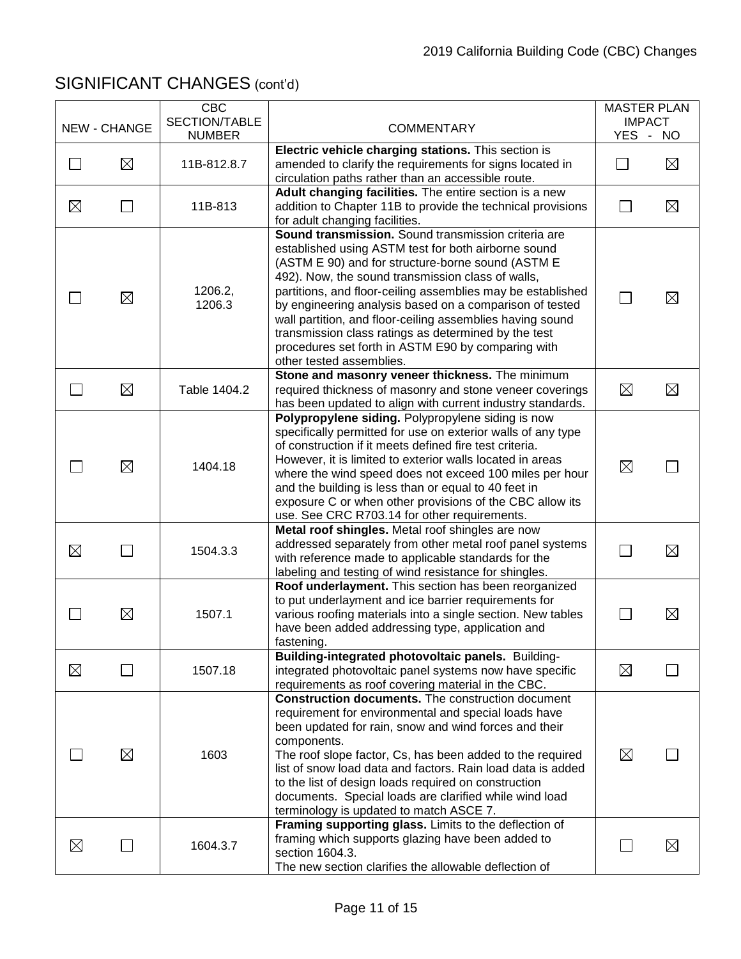|             | <b>NEW - CHANGE</b> | <b>CBC</b><br>SECTION/TABLE | <b>COMMENTARY</b>                                                                                                                                                                                                                                                                                                                                                                                                                                                        | <b>MASTER PLAN</b><br><b>IMPACT</b> |             |
|-------------|---------------------|-----------------------------|--------------------------------------------------------------------------------------------------------------------------------------------------------------------------------------------------------------------------------------------------------------------------------------------------------------------------------------------------------------------------------------------------------------------------------------------------------------------------|-------------------------------------|-------------|
|             |                     | <b>NUMBER</b>               | Electric vehicle charging stations. This section is                                                                                                                                                                                                                                                                                                                                                                                                                      | YES - NO                            |             |
|             | $\boxtimes$         | 11B-812.8.7                 | amended to clarify the requirements for signs located in                                                                                                                                                                                                                                                                                                                                                                                                                 |                                     | $\boxtimes$ |
|             |                     |                             | circulation paths rather than an accessible route.                                                                                                                                                                                                                                                                                                                                                                                                                       |                                     |             |
|             |                     |                             | Adult changing facilities. The entire section is a new                                                                                                                                                                                                                                                                                                                                                                                                                   |                                     |             |
| $\boxtimes$ | $\Box$              | 11B-813                     | addition to Chapter 11B to provide the technical provisions                                                                                                                                                                                                                                                                                                                                                                                                              | $\sim$                              | $\boxtimes$ |
|             |                     |                             | for adult changing facilities.                                                                                                                                                                                                                                                                                                                                                                                                                                           |                                     |             |
|             | $\boxtimes$         | 1206.2,<br>1206.3           | Sound transmission. Sound transmission criteria are<br>established using ASTM test for both airborne sound<br>(ASTM E 90) and for structure-borne sound (ASTM E<br>492). Now, the sound transmission class of walls,<br>partitions, and floor-ceiling assemblies may be established<br>by engineering analysis based on a comparison of tested                                                                                                                           |                                     | $\boxtimes$ |
|             |                     |                             | wall partition, and floor-ceiling assemblies having sound<br>transmission class ratings as determined by the test<br>procedures set forth in ASTM E90 by comparing with<br>other tested assemblies.                                                                                                                                                                                                                                                                      |                                     |             |
|             |                     |                             | Stone and masonry veneer thickness. The minimum                                                                                                                                                                                                                                                                                                                                                                                                                          |                                     |             |
|             | $\boxtimes$         | Table 1404.2                | required thickness of masonry and stone veneer coverings                                                                                                                                                                                                                                                                                                                                                                                                                 | $\boxtimes$                         | $\boxtimes$ |
|             |                     |                             | has been updated to align with current industry standards.                                                                                                                                                                                                                                                                                                                                                                                                               |                                     |             |
|             | ⊠                   | 1404.18                     | Polypropylene siding. Polypropylene siding is now<br>specifically permitted for use on exterior walls of any type<br>of construction if it meets defined fire test criteria.<br>However, it is limited to exterior walls located in areas<br>where the wind speed does not exceed 100 miles per hour<br>and the building is less than or equal to 40 feet in<br>exposure C or when other provisions of the CBC allow its<br>use. See CRC R703.14 for other requirements. | $\boxtimes$                         |             |
|             |                     |                             | Metal roof shingles. Metal roof shingles are now                                                                                                                                                                                                                                                                                                                                                                                                                         |                                     |             |
| $\boxtimes$ |                     | 1504.3.3                    | addressed separately from other metal roof panel systems<br>with reference made to applicable standards for the<br>labeling and testing of wind resistance for shingles.                                                                                                                                                                                                                                                                                                 |                                     | $\boxtimes$ |
|             |                     |                             | Roof underlayment. This section has been reorganized                                                                                                                                                                                                                                                                                                                                                                                                                     |                                     |             |
|             |                     |                             | to put underlayment and ice barrier requirements for                                                                                                                                                                                                                                                                                                                                                                                                                     |                                     |             |
|             | ⊠                   | 1507.1                      | various roofing materials into a single section. New tables                                                                                                                                                                                                                                                                                                                                                                                                              |                                     | $\boxtimes$ |
|             |                     |                             | have been added addressing type, application and                                                                                                                                                                                                                                                                                                                                                                                                                         |                                     |             |
|             |                     |                             | fastening.                                                                                                                                                                                                                                                                                                                                                                                                                                                               |                                     |             |
| $\boxtimes$ |                     | 1507.18                     | Building-integrated photovoltaic panels. Building-<br>integrated photovoltaic panel systems now have specific                                                                                                                                                                                                                                                                                                                                                            | ⊠                                   |             |
|             |                     |                             | requirements as roof covering material in the CBC.                                                                                                                                                                                                                                                                                                                                                                                                                       |                                     |             |
|             |                     |                             | <b>Construction documents.</b> The construction document                                                                                                                                                                                                                                                                                                                                                                                                                 |                                     |             |
|             | $\boxtimes$         | 1603                        | requirement for environmental and special loads have<br>been updated for rain, snow and wind forces and their<br>components.<br>The roof slope factor, Cs, has been added to the required<br>list of snow load data and factors. Rain load data is added<br>to the list of design loads required on construction<br>documents. Special loads are clarified while wind load<br>terminology is updated to match ASCE 7.                                                    | $\boxtimes$                         |             |
| ⊠           |                     | 1604.3.7                    | Framing supporting glass. Limits to the deflection of<br>framing which supports glazing have been added to<br>section 1604.3.<br>The new section clarifies the allowable deflection of                                                                                                                                                                                                                                                                                   |                                     | ⊠           |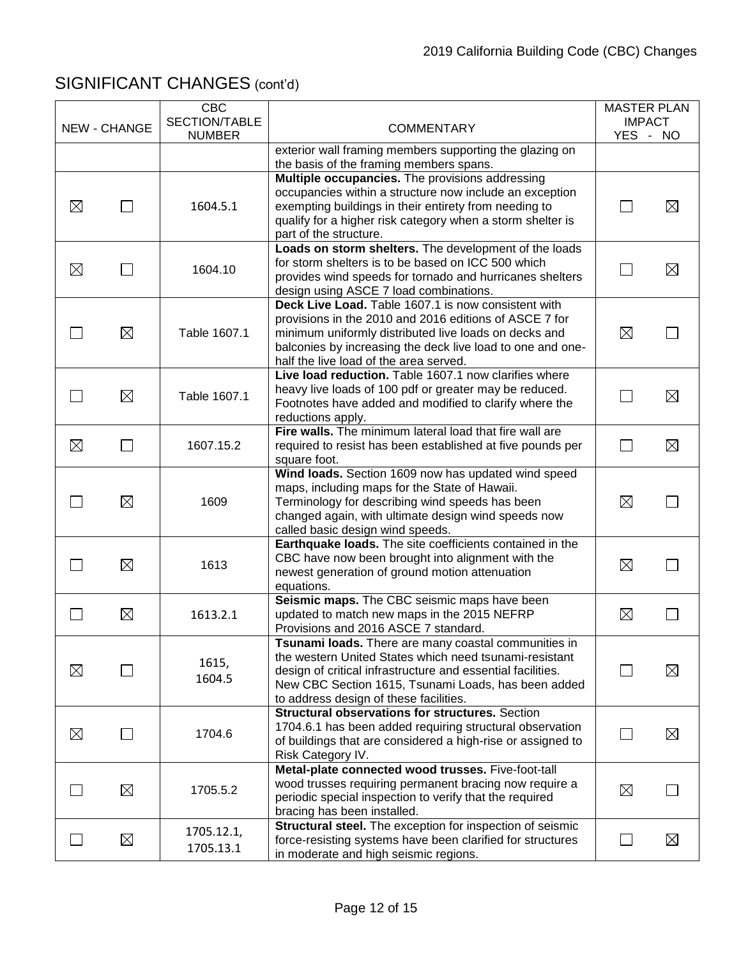|             | <b>NEW - CHANGE</b> | <b>CBC</b><br>SECTION/TABLE<br><b>NUMBER</b> | <b>COMMENTARY</b>                                                                                                                                                                                                                                                              | <b>MASTER PLAN</b><br><b>IMPACT</b><br>YES - NO |             |
|-------------|---------------------|----------------------------------------------|--------------------------------------------------------------------------------------------------------------------------------------------------------------------------------------------------------------------------------------------------------------------------------|-------------------------------------------------|-------------|
|             |                     |                                              | exterior wall framing members supporting the glazing on<br>the basis of the framing members spans.                                                                                                                                                                             |                                                 |             |
| $\boxtimes$ |                     | 1604.5.1                                     | Multiple occupancies. The provisions addressing<br>occupancies within a structure now include an exception<br>exempting buildings in their entirety from needing to<br>qualify for a higher risk category when a storm shelter is<br>part of the structure.                    |                                                 | $\boxtimes$ |
| $\boxtimes$ |                     | 1604.10                                      | Loads on storm shelters. The development of the loads<br>for storm shelters is to be based on ICC 500 which<br>provides wind speeds for tornado and hurricanes shelters<br>design using ASCE 7 load combinations.                                                              |                                                 | $\boxtimes$ |
|             | $\boxtimes$         | Table 1607.1                                 | Deck Live Load. Table 1607.1 is now consistent with<br>provisions in the 2010 and 2016 editions of ASCE 7 for<br>minimum uniformly distributed live loads on decks and<br>balconies by increasing the deck live load to one and one-<br>half the live load of the area served. | $\boxtimes$                                     |             |
|             | $\boxtimes$         | Table 1607.1                                 | Live load reduction. Table 1607.1 now clarifies where<br>heavy live loads of 100 pdf or greater may be reduced.<br>Footnotes have added and modified to clarify where the<br>reductions apply.                                                                                 | $\mathcal{L}_{\mathcal{A}}$                     | $\boxtimes$ |
| $\boxtimes$ | $\mathcal{L}$       | 1607.15.2                                    | Fire walls. The minimum lateral load that fire wall are<br>required to resist has been established at five pounds per<br>square foot.                                                                                                                                          | $\Box$                                          | $\boxtimes$ |
|             | $\boxtimes$         | 1609                                         | Wind loads. Section 1609 now has updated wind speed<br>maps, including maps for the State of Hawaii.<br>Terminology for describing wind speeds has been<br>changed again, with ultimate design wind speeds now<br>called basic design wind speeds.                             | $\boxtimes$                                     |             |
|             | $\boxtimes$         | 1613                                         | Earthquake loads. The site coefficients contained in the<br>CBC have now been brought into alignment with the<br>newest generation of ground motion attenuation<br>equations.                                                                                                  | $\boxtimes$                                     |             |
| $\sim$      | $\boxtimes$         | 1613.2.1                                     | Seismic maps. The CBC seismic maps have been<br>updated to match new maps in the 2015 NEFRP<br>Provisions and 2016 ASCE 7 standard.                                                                                                                                            | $\boxtimes$                                     |             |
| $\boxtimes$ |                     | 1615,<br>1604.5                              | Tsunami loads. There are many coastal communities in<br>the western United States which need tsunami-resistant<br>design of critical infrastructure and essential facilities.<br>New CBC Section 1615, Tsunami Loads, has been added<br>to address design of these facilities. |                                                 | $\boxtimes$ |
| $\boxtimes$ |                     | 1704.6                                       | <b>Structural observations for structures.</b> Section<br>1704.6.1 has been added requiring structural observation<br>of buildings that are considered a high-rise or assigned to<br>Risk Category IV.                                                                         |                                                 | $\boxtimes$ |
|             | $\boxtimes$         | 1705.5.2                                     | Metal-plate connected wood trusses. Five-foot-tall<br>wood trusses requiring permanent bracing now require a<br>periodic special inspection to verify that the required<br>bracing has been installed.                                                                         | $\boxtimes$                                     |             |
|             | $\boxtimes$         | 1705.12.1,<br>1705.13.1                      | Structural steel. The exception for inspection of seismic<br>force-resisting systems have been clarified for structures<br>in moderate and high seismic regions.                                                                                                               | $\mathcal{L}_{\mathcal{A}}$                     | $\boxtimes$ |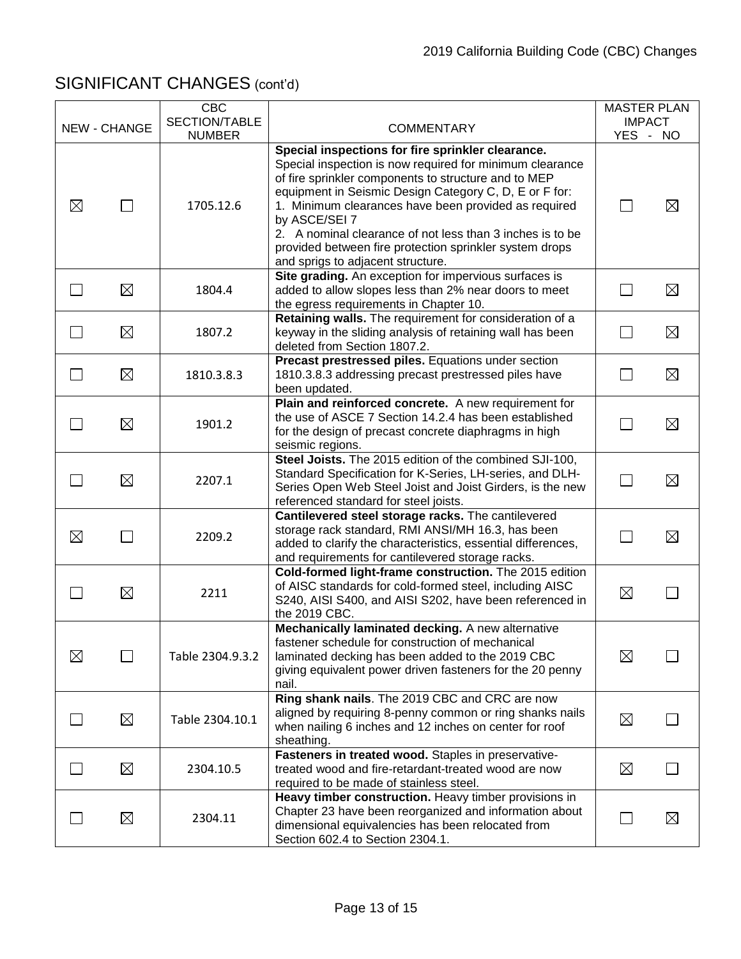|             |              | <b>CBC</b><br>SECTION/TABLE |                                                                                                                                                                                                                                                                                                                                                                                                                                                                       | <b>MASTER PLAN</b><br><b>IMPACT</b> |             |
|-------------|--------------|-----------------------------|-----------------------------------------------------------------------------------------------------------------------------------------------------------------------------------------------------------------------------------------------------------------------------------------------------------------------------------------------------------------------------------------------------------------------------------------------------------------------|-------------------------------------|-------------|
|             | NEW - CHANGE | <b>NUMBER</b>               | <b>COMMENTARY</b>                                                                                                                                                                                                                                                                                                                                                                                                                                                     | YES - NO                            |             |
| $\boxtimes$ | $\sim$       | 1705.12.6                   | Special inspections for fire sprinkler clearance.<br>Special inspection is now required for minimum clearance<br>of fire sprinkler components to structure and to MEP<br>equipment in Seismic Design Category C, D, E or F for:<br>1. Minimum clearances have been provided as required<br>by ASCE/SEI 7<br>2. A nominal clearance of not less than 3 inches is to be<br>provided between fire protection sprinkler system drops<br>and sprigs to adjacent structure. |                                     | $\boxtimes$ |
|             | $\boxtimes$  | 1804.4                      | Site grading. An exception for impervious surfaces is<br>added to allow slopes less than 2% near doors to meet<br>the egress requirements in Chapter 10.                                                                                                                                                                                                                                                                                                              |                                     | $\boxtimes$ |
|             | $\boxtimes$  | 1807.2                      | Retaining walls. The requirement for consideration of a<br>keyway in the sliding analysis of retaining wall has been<br>deleted from Section 1807.2.                                                                                                                                                                                                                                                                                                                  | $\mathcal{L}_{\mathcal{A}}$         | $\boxtimes$ |
| $\sim$      | $\boxtimes$  | 1810.3.8.3                  | Precast prestressed piles. Equations under section<br>1810.3.8.3 addressing precast prestressed piles have<br>been updated.                                                                                                                                                                                                                                                                                                                                           | $\mathbf{L}$                        | $\boxtimes$ |
| $\sim$      | $\boxtimes$  | 1901.2                      | Plain and reinforced concrete. A new requirement for<br>the use of ASCE 7 Section 14.2.4 has been established<br>for the design of precast concrete diaphragms in high<br>seismic regions.                                                                                                                                                                                                                                                                            | Г.                                  | $\boxtimes$ |
|             | $\boxtimes$  | 2207.1                      | Steel Joists. The 2015 edition of the combined SJI-100,<br>Standard Specification for K-Series, LH-series, and DLH-<br>Series Open Web Steel Joist and Joist Girders, is the new<br>referenced standard for steel joists.                                                                                                                                                                                                                                             |                                     | $\boxtimes$ |
| $\boxtimes$ |              | 2209.2                      | Cantilevered steel storage racks. The cantilevered<br>storage rack standard, RMI ANSI/MH 16.3, has been<br>added to clarify the characteristics, essential differences,<br>and requirements for cantilevered storage racks.                                                                                                                                                                                                                                           |                                     | $\boxtimes$ |
|             | $\boxtimes$  | 2211                        | Cold-formed light-frame construction. The 2015 edition<br>of AISC standards for cold-formed steel, including AISC<br>S240, AISI S400, and AISI S202, have been referenced in<br>the 2019 CBC.                                                                                                                                                                                                                                                                         | $\boxtimes$                         |             |
| $\boxtimes$ |              | Table 2304.9.3.2            | Mechanically laminated decking. A new alternative<br>fastener schedule for construction of mechanical<br>laminated decking has been added to the 2019 CBC<br>giving equivalent power driven fasteners for the 20 penny<br>nail.                                                                                                                                                                                                                                       | $\boxtimes$                         |             |
|             | $\boxtimes$  | Table 2304.10.1             | Ring shank nails. The 2019 CBC and CRC are now<br>aligned by requiring 8-penny common or ring shanks nails<br>when nailing 6 inches and 12 inches on center for roof<br>sheathing.                                                                                                                                                                                                                                                                                    | $\boxtimes$                         |             |
|             | ⊠            | 2304.10.5                   | Fasteners in treated wood. Staples in preservative-<br>treated wood and fire-retardant-treated wood are now<br>required to be made of stainless steel.                                                                                                                                                                                                                                                                                                                | $\boxtimes$                         |             |
|             | $\boxtimes$  | 2304.11                     | Heavy timber construction. Heavy timber provisions in<br>Chapter 23 have been reorganized and information about<br>dimensional equivalencies has been relocated from<br>Section 602.4 to Section 2304.1.                                                                                                                                                                                                                                                              |                                     | $\boxtimes$ |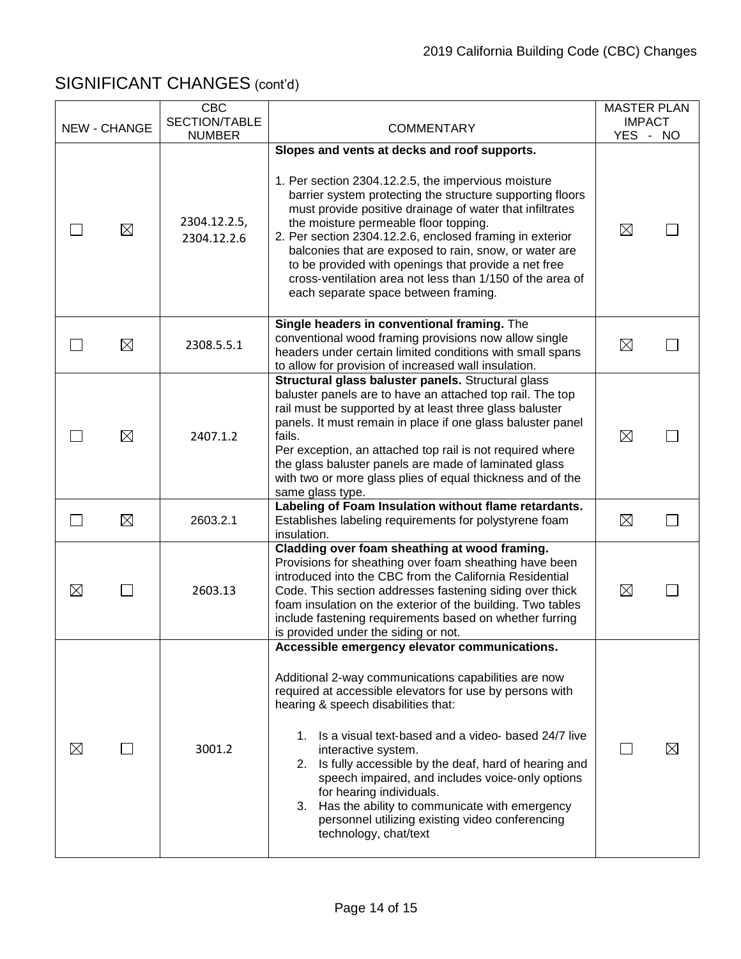| <b>NEW - CHANGE</b> |             | <b>CBC</b><br>SECTION/TABLE | <b>COMMENTARY</b>                                                                                                                                                                                                                                                                                                                                                                                                                                                                                                                                                    | <b>MASTER PLAN</b><br><b>IMPACT</b> |     |
|---------------------|-------------|-----------------------------|----------------------------------------------------------------------------------------------------------------------------------------------------------------------------------------------------------------------------------------------------------------------------------------------------------------------------------------------------------------------------------------------------------------------------------------------------------------------------------------------------------------------------------------------------------------------|-------------------------------------|-----|
|                     |             | <b>NUMBER</b>               |                                                                                                                                                                                                                                                                                                                                                                                                                                                                                                                                                                      | YES - NO                            |     |
|                     | $\boxtimes$ | 2304.12.2.5,<br>2304.12.2.6 | Slopes and vents at decks and roof supports.<br>1. Per section 2304.12.2.5, the impervious moisture<br>barrier system protecting the structure supporting floors<br>must provide positive drainage of water that infiltrates<br>the moisture permeable floor topping.<br>2. Per section 2304.12.2.6, enclosed framing in exterior<br>balconies that are exposed to rain, snow, or water are<br>to be provided with openings that provide a net free<br>cross-ventilation area not less than 1/150 of the area of<br>each separate space between framing.             | $\boxtimes$                         |     |
|                     | ⊠           | 2308.5.5.1                  | Single headers in conventional framing. The<br>conventional wood framing provisions now allow single<br>headers under certain limited conditions with small spans<br>to allow for provision of increased wall insulation.                                                                                                                                                                                                                                                                                                                                            | $\boxtimes$                         |     |
|                     | $\boxtimes$ | 2407.1.2                    | Structural glass baluster panels. Structural glass<br>baluster panels are to have an attached top rail. The top<br>rail must be supported by at least three glass baluster<br>panels. It must remain in place if one glass baluster panel<br>fails.<br>Per exception, an attached top rail is not required where<br>the glass baluster panels are made of laminated glass<br>with two or more glass plies of equal thickness and of the<br>same glass type.                                                                                                          | $\boxtimes$                         |     |
|                     | ⊠           | 2603.2.1                    | Labeling of Foam Insulation without flame retardants.<br>Establishes labeling requirements for polystyrene foam<br>insulation.                                                                                                                                                                                                                                                                                                                                                                                                                                       | $\boxtimes$                         |     |
| $\boxtimes$         | $\Box$      | 2603.13                     | Cladding over foam sheathing at wood framing.<br>Provisions for sheathing over foam sheathing have been<br>introduced into the CBC from the California Residential<br>Code. This section addresses fastening siding over thick<br>foam insulation on the exterior of the building. Two tables<br>include fastening requirements based on whether furring<br>is provided under the siding or not.                                                                                                                                                                     | $\boxtimes$                         |     |
| ⊠                   |             | 3001.2                      | Accessible emergency elevator communications.<br>Additional 2-way communications capabilities are now<br>required at accessible elevators for use by persons with<br>hearing & speech disabilities that:<br>1. Is a visual text-based and a video- based 24/7 live<br>interactive system.<br>2. Is fully accessible by the deaf, hard of hearing and<br>speech impaired, and includes voice-only options<br>for hearing individuals.<br>3. Has the ability to communicate with emergency<br>personnel utilizing existing video conferencing<br>technology, chat/text |                                     | IXI |